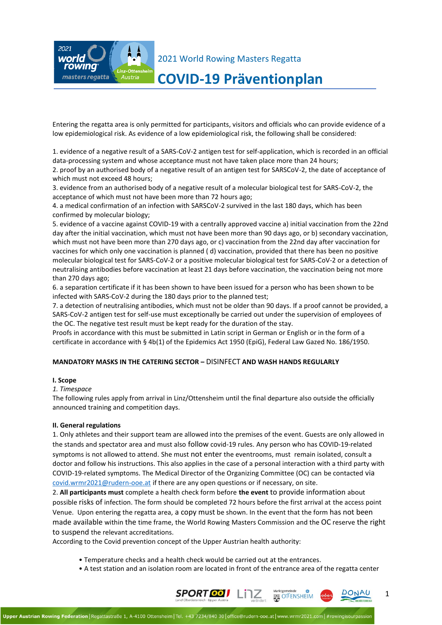

# **COVID-19 Präventionplan**

Entering the regatta area is only permitted for participants, visitors and officials who can provide evidence of a low epidemiological risk. As evidence of a low epidemiological risk, the following shall be considered:

1. evidence of a negative result of a SARS-CoV-2 antigen test for self-application, which is recorded in an official data-processing system and whose acceptance must not have taken place more than 24 hours; 2. proof by an authorised body of a negative result of an antigen test for SARSCoV-2, the date of acceptance of which must not exceed 48 hours;

3. evidence from an authorised body of a negative result of a molecular biological test for SARS-CoV-2, the acceptance of which must not have been more than 72 hours ago;

4. a medical confirmation of an infection with SARSCoV-2 survived in the last 180 days, which has been confirmed by molecular biology;

5. evidence of a vaccine against COVID-19 with a centrally approved vaccine a) initial vaccination from the 22nd day after the initial vaccination, which must not have been more than 90 days ago, or b) secondary vaccination, which must not have been more than 270 days ago, or c) vaccination from the 22nd day after vaccination for vaccines for which only one vaccination is planned ( d) vaccination, provided that there has been no positive molecular biological test for SARS-CoV-2 or a positive molecular biological test for SARS-CoV-2 or a detection of neutralising antibodies before vaccination at least 21 days before vaccination, the vaccination being not more than 270 days ago;

6. a separation certificate if it has been shown to have been issued for a person who has been shown to be infected with SARS-CoV-2 during the 180 days prior to the planned test;

7. a detection of neutralising antibodies, which must not be older than 90 days. If a proof cannot be provided, a SARS-CoV-2 antigen test for self-use must exceptionally be carried out under the supervision of employees of the OC. The negative test result must be kept ready for the duration of the stay.

Proofs in accordance with this must be submitted in Latin script in German or English or in the form of a certificate in accordance with § 4b(1) of the Epidemics Act 1950 (EpiG), Federal Law Gazed No. 186/1950.

#### **MANDATORY MASKS IN THE CATERING SECTOR –** DISINFECT **AND WASH HANDS REGULARLY**

#### **I. Scope**

*1. Timespace*

The following rules apply from arrival in Linz/Ottensheim until the final departure also outside the officially announced training and competition days.

#### **II. General regulations**

1. Only athletes and their support team are allowed into the premises of the event. Guests are only allowed in the stands and spectator area and must also follow covid-19 rules. Any person who has COVID-19-related symptoms is not allowed to attend. She must not enter the eventrooms, must remain isolated, consult a doctor and follow his instructions. This also applies in the case of a personal interaction with a third party with COVID-19-related symptoms. The Medical Director of the Organizing Committee (OC) can be contacted via [covid.wrmr2021@rudern-ooe.at](mailto:covid.wrmr2021@rudern-ooe.at) if there are any open questions or if necessary, on site.

2. **All participants must** complete a health check form before **the event** to provide information about possible risks of infection. The form should be completed 72 hours before the first arrival at the access point Venue. Upon entering the regatta area, a copy must be shown. In the event that the form has not been made available within the time frame, the World Rowing Masters Commission and the OC reserve the right to suspend the relevant accreditations.

According to the Covid prevention concept of the Upper Austrian health authority:

- Temperature checks and a health check would be carried out at the entrances.
- A test station and an isolation room are located in front of the entrance area of the regatta center

Marktgemeind

**SAL OT ENSHEIM** 

SPORT OF LITZ

1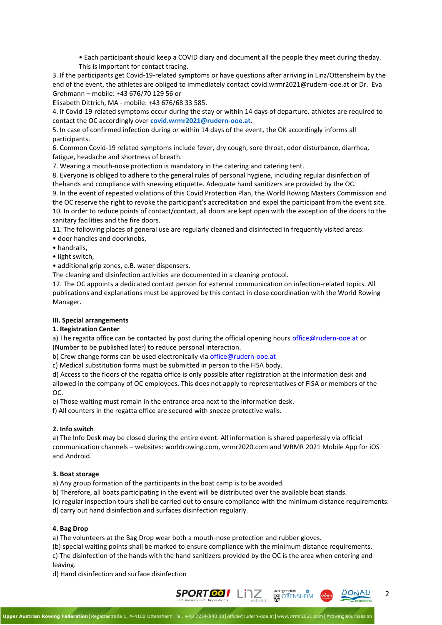• Each participant should keep a COVID diary and document all the people they meet during theday. This is important for contact tracing.

3. If the participants get Covid-19-related symptoms or have questions after arriving in Linz/Ottensheim by the end of the event, the athletes are obliged to immediately contact covid.wrmr2021@rudern-ooe.at or Dr. Eva Grohmann – mobile: +43 676/70 129 56 or

Elisabeth Dittrich, MA - mobile: +43 676/68 33 585.

4. If Covid-19-related symptoms occur during the stay or within 14 days of departure, athletes are required to contact the OC accordingly over **[covid.wrmr2021@rudern-ooe.at.](mailto:covid.wrmr2021@rudern-ooe.at)**

5. In case of confirmed infection during or within 14 days of the event, the OK accordingly informs all participants.

6. Common Covid-19 related symptoms include fever, dry cough, sore throat, odor disturbance, diarrhea, fatigue, headache and shortness of breath.

7. Wearing a mouth-nose protection is mandatory in the catering and catering tent.

8. Everyone is obliged to adhere to the general rules of personal hygiene, including regular disinfection of thehands and compliance with sneezing etiquette. Adequate hand sanitizers are provided by the OC.

9. In the event of repeated violations of this Covid Protection Plan, the World Rowing Masters Commission and the OC reserve the right to revoke the participant's accreditation and expel the participant from the event site. 10. In order to reduce points of contact/contact, all doors are kept open with the exception of the doors to the sanitary facilities and the fire doors.

11. The following places of general use are regularly cleaned and disinfected in frequently visited areas:

- door handles and doorknobs,
- handrails,
- light switch,

• additional grip zones, e.B. water dispensers.

The cleaning and disinfection activities are documented in a cleaning protocol.

12. The OC appoints a dedicated contact person for external communication on infection-related topics. All publications and explanations must be approved by this contact in close coordination with the World Rowing Manager.

#### **III. Special arrangements**

#### **1. Registration Center**

a) The regatta office can be contacted by post during the official opening hours office@rudern-ooe.at or (Number to be published later) to reduce personal interaction.

b) Crew change forms can be used electronically via office@rudern-ooe.at

c) Medical substitution forms must be submitted in person to the FISA body.

d) Access to the floors of the regatta office is only possible after registration at the information desk and allowed in the company of OC employees. This does not apply to representatives of FISA or members of the OC.

e) Those waiting must remain in the entrance area next to the information desk.

f) All counters in the regatta office are secured with sneeze protective walls.

#### **2. Info switch**

a) The Info Desk may be closed during the entire event. All information is shared paperlessly via official communication channels – websites: worldrowing.com, wrmr2020.com and WRMR 2021 Mobile App for iOS and Android.

#### **3. Boat storage**

a) Any group formation of the participants in the boat camp is to be avoided.

b) Therefore, all boats participating in the event will be distributed over the available boat stands.

(c) regular inspection tours shall be carried out to ensure compliance with the minimum distance requirements.

d) carry out hand disinfection and surfaces disinfection regularly.

### **4. Bag Drop**

a) The volunteers at the Bag Drop wear both a mouth-nose protection and rubber gloves.

(b) special waiting points shall be marked to ensure compliance with the minimum distance requirements. c) The disinfection of the hands with the hand sanitizers provided by the OC is the area when entering and leaving.

d) Hand disinfection and surface disinfection



2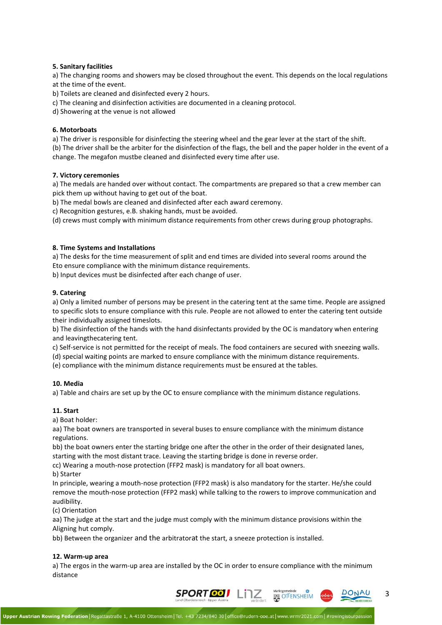#### **5. Sanitary facilities**

a) The changing rooms and showers may be closed throughout the event. This depends on the local regulations at the time of the event.

b) Toilets are cleaned and disinfected every 2 hours.

c) The cleaning and disinfection activities are documented in a cleaning protocol.

d) Showering at the venue is not allowed

#### **6. Motorboats**

a) The driver is responsible for disinfecting the steering wheel and the gear lever at the start of the shift. (b) The driver shall be the arbiter for the disinfection of the flags, the bell and the paper holder in the event of a change. The megafon mustbe cleaned and disinfected every time after use.

#### **7. Victory ceremonies**

a) The medals are handed over without contact. The compartments are prepared so that a crew member can pick them up without having to get out of the boat.

b) The medal bowls are cleaned and disinfected after each award ceremony.

c) Recognition gestures, e.B. shaking hands, must be avoided.

(d) crews must comply with minimum distance requirements from other crews during group photographs.

#### **8. Time Systems and Installations**

a) The desks for the time measurement of split and end times are divided into several rooms around the Eto ensure compliance with the minimum distance requirements.

b) Input devices must be disinfected after each change of user.

#### **9. Catering**

a) Only a limited number of persons may be present in the catering tent at the same time. People are assigned to specific slots to ensure compliance with this rule. People are not allowed to enter the catering tent outside their individually assigned timeslots.

b) The disinfection of the hands with the hand disinfectants provided by the OC is mandatory when entering and leavingthecatering tent.

c) Self-service is not permitted for the receipt of meals. The food containers are secured with sneezing walls.

(d) special waiting points are marked to ensure compliance with the minimum distance requirements.

(e) compliance with the minimum distance requirements must be ensured at the tables.

#### **10. Media**

a) Table and chairs are set up by the OC to ensure compliance with the minimum distance regulations.

#### **11. Start**

a) Boat holder:

aa) The boat owners are transported in several buses to ensure compliance with the minimum distance regulations.

bb) the boat owners enter the starting bridge one after the other in the order of their designated lanes, starting with the most distant trace. Leaving the starting bridge is done in reverse order.

cc) Wearing a mouth-nose protection (FFP2 mask) is mandatory for all boat owners.

b) Starter

In principle, wearing a mouth-nose protection (FFP2 mask) is also mandatory for the starter. He/she could remove the mouth-nose protection (FFP2 mask) while talking to the rowers to improve communication and audibility.

(c) Orientation

aa) The judge at the start and the judge must comply with the minimum distance provisions within the Aligning hut comply.

bb) Between the organizer and the arbitratorat the start, a sneeze protection is installed.

#### **12. Warm-up area**

a) The ergos in the warm-up area are installed by the OC in order to ensure compliance with the minimum distance